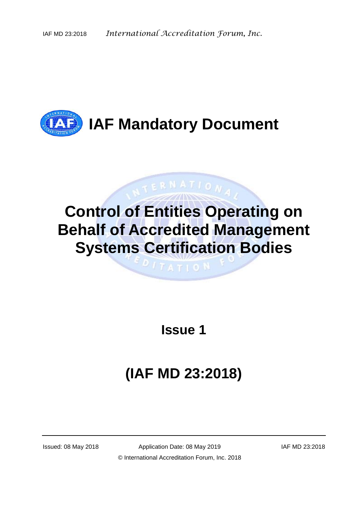

# **Control of Entities Operating on Behalf of Accredited Management Systems Certification Bodies**

 $\mathbf{1}$   $\mathbf{1}$   $\mathbf{1}$   $\mathbf{1}$   $\mathbf{0}$   $\mathbf{N}$ 

TERNATIONA.

**Issue 1**

# **(IAF MD 23:2018)**

Issued: 08 May 2018 Application Date: 08 May 2019 IAF MD 23:2018 © International Accreditation Forum, Inc. 2018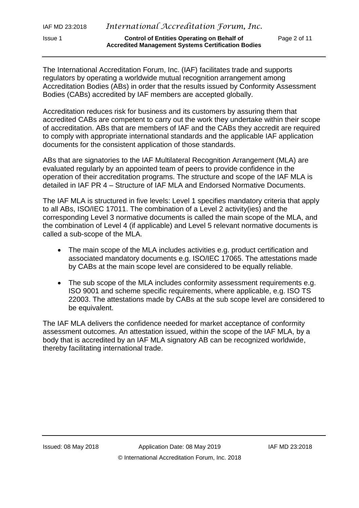The International Accreditation Forum, Inc. (IAF) facilitates trade and supports regulators by operating a worldwide mutual recognition arrangement among Accreditation Bodies (ABs) in order that the results issued by Conformity Assessment Bodies (CABs) accredited by IAF members are accepted globally.

Accreditation reduces risk for business and its customers by assuring them that accredited CABs are competent to carry out the work they undertake within their scope of accreditation. ABs that are members of IAF and the CABs they accredit are required to comply with appropriate international standards and the applicable IAF application documents for the consistent application of those standards.

ABs that are signatories to the IAF Multilateral Recognition Arrangement (MLA) are evaluated regularly by an appointed team of peers to provide confidence in the operation of their accreditation programs. The structure and scope of the IAF MLA is detailed in IAF PR 4 – Structure of IAF MLA and Endorsed Normative Documents.

The IAF MLA is structured in five levels: Level 1 specifies mandatory criteria that apply to all ABs, ISO/IEC 17011. The combination of a Level 2 activity(ies) and the corresponding Level 3 normative documents is called the main scope of the MLA, and the combination of Level 4 (if applicable) and Level 5 relevant normative documents is called a sub-scope of the MLA.

- The main scope of the MLA includes activities e.g. product certification and associated mandatory documents e.g. ISO/IEC 17065. The attestations made by CABs at the main scope level are considered to be equally reliable.
- The sub scope of the MLA includes conformity assessment requirements e.g. ISO 9001 and scheme specific requirements, where applicable, e.g. ISO TS 22003. The attestations made by CABs at the sub scope level are considered to be equivalent.

The IAF MLA delivers the confidence needed for market acceptance of conformity assessment outcomes. An attestation issued, within the scope of the IAF MLA, by a body that is accredited by an IAF MLA signatory AB can be recognized worldwide, thereby facilitating international trade.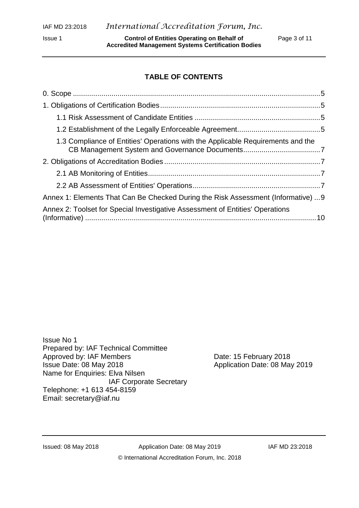Issue 1 **Control of Entities Operating on Behalf of** Page 3 of 11 **Accredited Management Systems Certification Bodies** 

## **TABLE OF CONTENTS**

| 1.3 Compliance of Entities' Operations with the Applicable Requirements and the   |  |
|-----------------------------------------------------------------------------------|--|
|                                                                                   |  |
|                                                                                   |  |
|                                                                                   |  |
| Annex 1: Elements That Can Be Checked During the Risk Assessment (Informative)  9 |  |
| Annex 2: Toolset for Special Investigative Assessment of Entities' Operations     |  |

Issue No 1 Prepared by: IAF Technical Committee Approved by: IAF Members Date: 15 February 2018 Issue Date: 08 May 2018 **Application Date: 08 May 2019** Name for Enquiries: Elva Nilsen IAF Corporate Secretary Telephone: +1 613 454-8159 Email: [secretary@iaf.nu](mailto:secretary@iaf.nu)

Issued: 08 May 2018 Application Date: 08 May 2019 IAF MD 23:2018 © International Accreditation Forum, Inc. 2018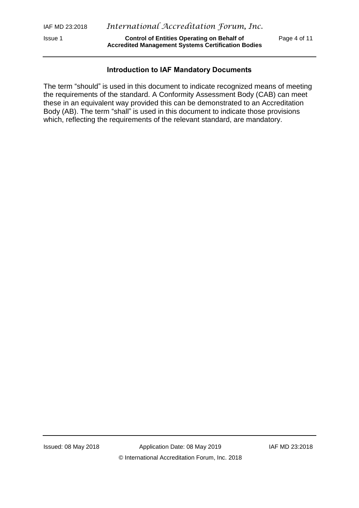Issue 1 **Control of Entities Operating on Behalf of** Page 4 of 11 **Accredited Management Systems Certification Bodies** 

#### **Introduction to IAF Mandatory Documents**

The term "should" is used in this document to indicate recognized means of meeting the requirements of the standard. A Conformity Assessment Body (CAB) can meet these in an equivalent way provided this can be demonstrated to an Accreditation Body (AB). The term "shall" is used in this document to indicate those provisions which, reflecting the requirements of the relevant standard, are mandatory.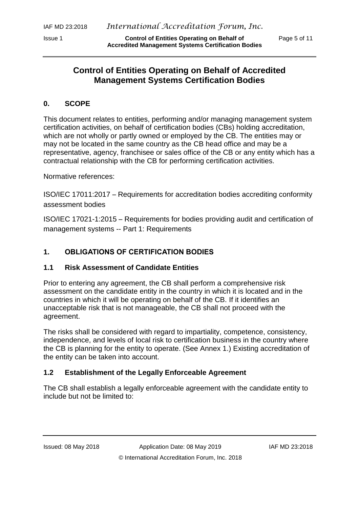# **Control of Entities Operating on Behalf of Accredited Management Systems Certification Bodies**

#### **0. SCOPE**

This document relates to entities, performing and/or managing management system certification activities, on behalf of certification bodies (CBs) holding accreditation, which are not wholly or partly owned or employed by the CB. The entities may or may not be located in the same country as the CB head office and may be a representative, agency, franchisee or sales office of the CB or any entity which has a contractual relationship with the CB for performing certification activities.

Normative references:

ISO/IEC 17011:2017 – Requirements for accreditation bodies accrediting conformity assessment bodies

ISO/IEC 17021-1:2015 – Requirements for bodies providing audit and certification of management systems -- Part 1: Requirements

## **1. OBLIGATIONS OF CERTIFICATION BODIES**

#### **1.1 Risk Assessment of Candidate Entities**

Prior to entering any agreement, the CB shall perform a comprehensive risk assessment on the candidate entity in the country in which it is located and in the countries in which it will be operating on behalf of the CB. If it identifies an unacceptable risk that is not manageable, the CB shall not proceed with the agreement.

The risks shall be considered with regard to impartiality, competence, consistency, independence, and levels of local risk to certification business in the country where the CB is planning for the entity to operate. (See Annex 1.) Existing accreditation of the entity can be taken into account.

#### **1.2 Establishment of the Legally Enforceable Agreement**

The CB shall establish a legally enforceable agreement with the candidate entity to include but not be limited to: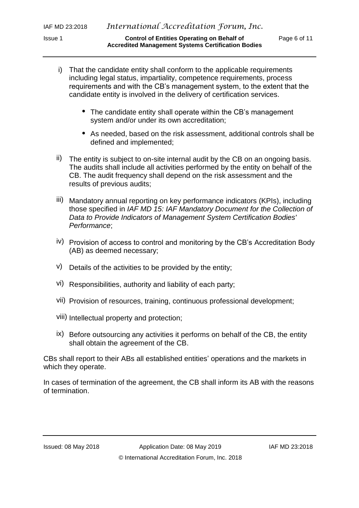- i) That the candidate entity shall conform to the applicable requirements including legal status, impartiality, competence requirements, process requirements and with the CB's management system, to the extent that the candidate entity is involved in the delivery of certification services.
	- The candidate entity shall operate within the CB's management system and/or under its own accreditation;
	- As needed, based on the risk assessment, additional controls shall be defined and implemented;
- ii) The entity is subject to on-site internal audit by the CB on an ongoing basis. The audits shall include all activities performed by the entity on behalf of the CB. The audit frequency shall depend on the risk assessment and the results of previous audits;
- iii) Mandatory annual reporting on key performance indicators (KPIs), including those specified in *IAF MD 15: IAF Mandatory Document for the Collection of Data to Provide Indicators of Management System Certification Bodies' Performance*;
- iv) Provision of access to control and monitoring by the CB's Accreditation Body (AB) as deemed necessary;
- v) Details of the activities to be provided by the entity;
- vi) Responsibilities, authority and liability of each party;
- vii) Provision of resources, training, continuous professional development;
- viii) Intellectual property and protection;
- ix) Before outsourcing any activities it performs on behalf of the CB, the entity shall obtain the agreement of the CB.

CBs shall report to their ABs all established entities' operations and the markets in which they operate.

In cases of termination of the agreement, the CB shall inform its AB with the reasons of termination.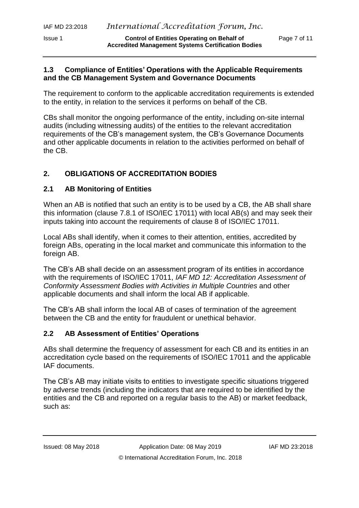Issue 1 **Control of Entities Operating on Behalf of** Page 7 of 11 **Accredited Management Systems Certification Bodies** 

#### **1.3 Compliance of Entities' Operations with the Applicable Requirements and the CB Management System and Governance Documents**

The requirement to conform to the applicable accreditation requirements is extended to the entity, in relation to the services it performs on behalf of the CB.

CBs shall monitor the ongoing performance of the entity, including on-site internal audits (including witnessing audits) of the entities to the relevant accreditation requirements of the CB's management system, the CB's Governance Documents and other applicable documents in relation to the activities performed on behalf of the CB.

# **2. OBLIGATIONS OF ACCREDITATION BODIES**

### **2.1 AB Monitoring of Entities**

When an AB is notified that such an entity is to be used by a CB, the AB shall share this information (clause 7.8.1 of ISO/IEC 17011) with local AB(s) and may seek their inputs taking into account the requirements of clause 8 of ISO/IEC 17011.

Local ABs shall identify, when it comes to their attention, entities, accredited by foreign ABs, operating in the local market and communicate this information to the foreign AB.

The CB's AB shall decide on an assessment program of its entities in accordance with the requirements of ISO/IEC 17011, *IAF MD 12: Accreditation Assessment of Conformity Assessment Bodies with Activities in Multiple Countries* and other applicable documents and shall inform the local AB if applicable.

The CB's AB shall inform the local AB of cases of termination of the agreement between the CB and the entity for fraudulent or unethical behavior.

#### **2.2 AB Assessment of Entities' Operations**

ABs shall determine the frequency of assessment for each CB and its entities in an accreditation cycle based on the requirements of ISO/IEC 17011 and the applicable IAF documents.

The CB's AB may initiate visits to entities to investigate specific situations triggered by adverse trends (including the indicators that are required to be identified by the entities and the CB and reported on a regular basis to the AB) or market feedback, such as: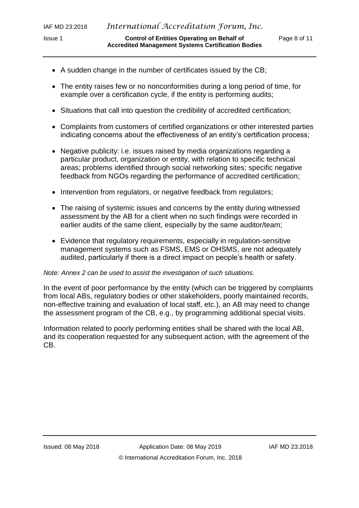Issue 1 **Control of Entities Operating on Behalf of** Page 8 of 11 **Accredited Management Systems Certification Bodies** 

- A sudden change in the number of certificates issued by the CB;
- The entity raises few or no nonconformities during a long period of time, for example over a certification cycle, if the entity is performing audits;
- Situations that call into question the credibility of accredited certification;
- Complaints from customers of certified organizations or other interested parties indicating concerns about the effectiveness of an entity's certification process;
- Negative publicity: i.e. issues raised by media organizations regarding a particular product, organization or entity, with relation to specific technical areas; problems identified through social networking sites; specific negative feedback from NGOs regarding the performance of accredited certification;
- Intervention from regulators, or negative feedback from regulators;
- The raising of systemic issues and concerns by the entity during witnessed assessment by the AB for a client when no such findings were recorded in earlier audits of the same client, especially by the same auditor/team;
- Evidence that regulatory requirements, especially in regulation-sensitive management systems such as FSMS, EMS or OHSMS, are not adequately audited, particularly if there is a direct impact on people's health or safety.

#### *Note: Annex 2 can be used to assist the investigation of such situations.*

In the event of poor performance by the entity (which can be triggered by complaints from local ABs, regulatory bodies or other stakeholders*,* poorly maintained records, non-effective training and evaluation of local staff, etc.), an AB may need to change the assessment program of the CB, e.g., by programming additional special visits.

Information related to poorly performing entities shall be shared with the local AB, and its cooperation requested for any subsequent action, with the agreement of the CB.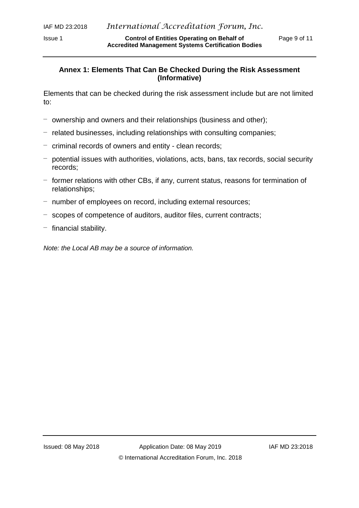Issue 1 **Control of Entities Operating on Behalf of** Page 9 of 11 **Accredited Management Systems Certification Bodies** 

#### **Annex 1: Elements That Can Be Checked During the Risk Assessment (Informative)**

Elements that can be checked during the risk assessment include but are not limited to:

- ownership and owners and their relationships (business and other);
- related businesses, including relationships with consulting companies;
- criminal records of owners and entity clean records;
- potential issues with authorities, violations, acts, bans, tax records, social security records;
- former relations with other CBs, if any, current status, reasons for termination of relationships;
- number of employees on record, including external resources;
- scopes of competence of auditors, auditor files, current contracts;
- $-$  financial stability.

*Note: the Local AB may be a source of information.*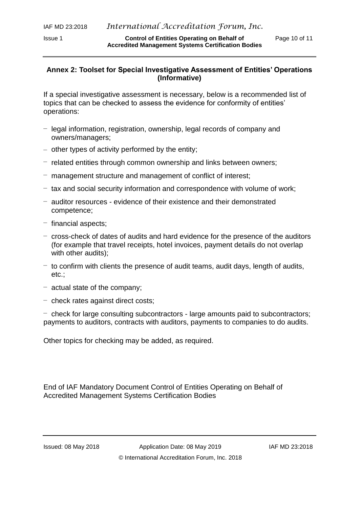Issue 1 **Control of Entities Operating on Behalf of** Page 10 of 11 **Accredited Management Systems Certification Bodies** 

#### **Annex 2: Toolset for Special Investigative Assessment of Entities' Operations (Informative)**

If a special investigative assessment is necessary, below is a recommended list of topics that can be checked to assess the evidence for conformity of entities' operations:

- legal information, registration, ownership, legal records of company and owners/managers;
- other types of activity performed by the entity;
- related entities through common ownership and links between owners;
- management structure and management of conflict of interest;
- tax and social security information and correspondence with volume of work;
- auditor resources evidence of their existence and their demonstrated competence;
- financial aspects;
- cross-check of dates of audits and hard evidence for the presence of the auditors (for example that travel receipts, hotel invoices, payment details do not overlap with other audits);
- $-$  to confirm with clients the presence of audit teams, audit days, length of audits, etc.;
- actual state of the company;
- check rates against direct costs;

– check for large consulting subcontractors - large amounts paid to subcontractors; payments to auditors, contracts with auditors, payments to companies to do audits.

Other topics for checking may be added, as required.

End of IAF Mandatory Document Control of Entities Operating on Behalf of Accredited Management Systems Certification Bodies